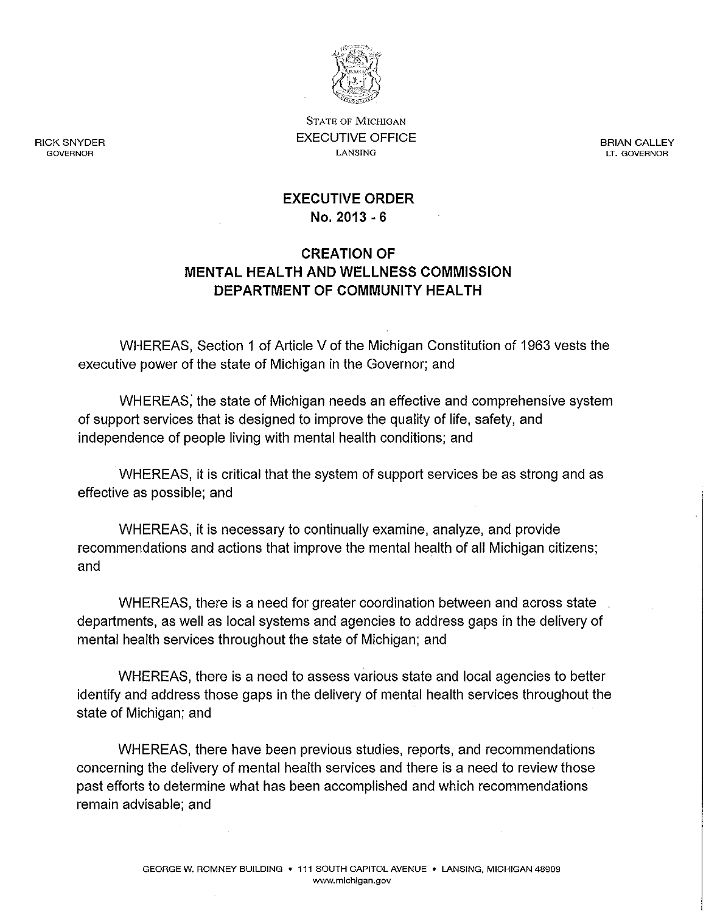

STATE OF MICHIGAN EXECUTIVE OFFICE LANSING

BRIAN CALLEY LT. GOVERNOR

### EXECUTIVE ORDER No. 2013 - 6

# CREATION OF MENTAL HEALTH AND WELLNESS COMMISSION DEPARTMENT OF COMMUNITY HEALTH

WHEREAS, Section 1 of Article V of the Michigan Constitution of 1963 vests the executive power of the state of Michigan in the Governor; and

WHEREAS; the state of Michigan needs an effective and comprehensive system of support services that is designed to improve the quality of life, safety, and independence of people living with mental health conditions; and

WHEREAS, it is critical that the system of support services be as strong and as effective as possible; and

WHEREAS, it is necessary to continually examine, analyze, and provide recommendations and actions that improve the mental health of all Michigan citizens; and

WHEREAS, there is a need for greater coordination between and across state departments, as well as local systems and agencies to address gaps in the delivery of mental health services throughout the state of Michigan; and

WHEREAS, there is a need to assess various state and local agencies to better identify and address those gaps in the delivery of mental health services throughout the state of Michigan; and

WHEREAS, there have been previous studies, reports, and recommendations concerning the delivery of mental health services and there is a need to review those past efforts to determine what has been accomplished and which recommendations remain advisable; and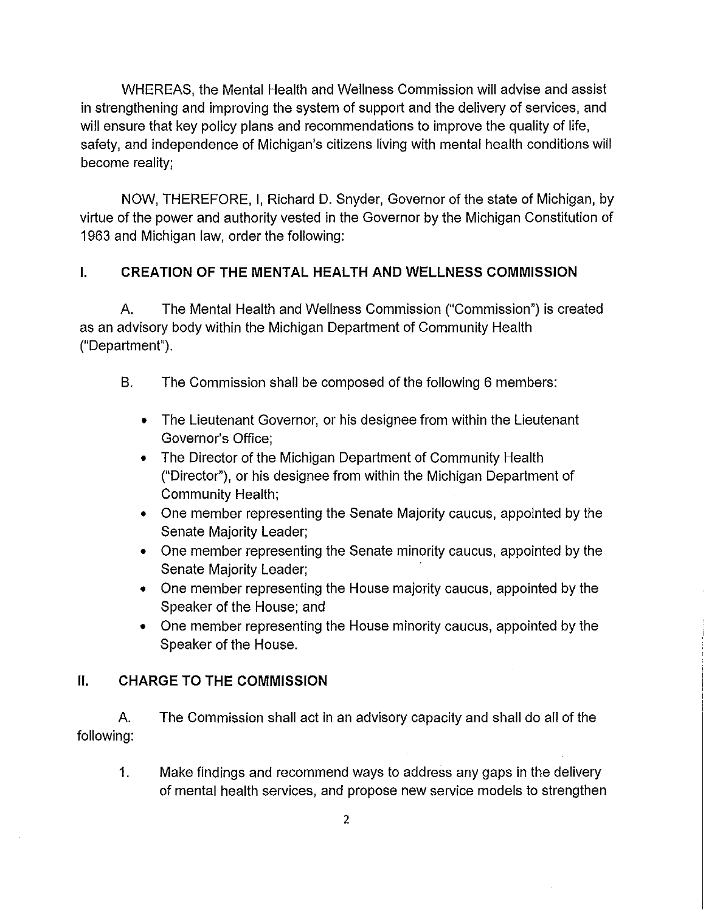WHEREAS, the Mental Health and Wellness Commission will advise and assist in strengthening and improving the system of support and the delivery of services, and will ensure that key policy plans and recommendations to improve the quality of life, safety, and independence of Michigan's citizens living with mental health conditions will become reality;

NOW, THEREFORE, I, Richard D. Snyder, Governor of the state of Michigan, by virtue of the power and authority vested in the Governor by the Michigan Constitution of 1963 and Michigan law, order the following:

# **I. CREATION OF THE MENTAL HEALTH AND WELLNESS COMMISSION**

A. The Mental Health and Wellness Commission ("Commission") is created as an advisory body within the Michigan Department of Community Health ("Department").

- B. The Commission shall be composed of the following 6 members:
	- The Lieutenant Governor, or his designee from within the Lieutenant Governor's Office;
	- The Director of the Michigan Department of Community Health ("Director"), or his designee from within the Michigan Department of Community Health;
	- One member representing the Senate Majority caucus, appointed by the Senate Majority Leader;
	- One member representing the Senate minority caucus, appointed by the Senate Majority Leader;
	- One member representing the House majority caucus, appointed by the Speaker of the House; and
	- One member representing the House minority caucus, appointed by the Speaker of the House.

#### **II. CHARGE TO THE COMMISSION**

A. The Commission shall act in an advisory capacity and shall do all of the following:

1. Make findings and recommend ways to address any gaps in the delivery of mental health services, and propose new service models to strengthen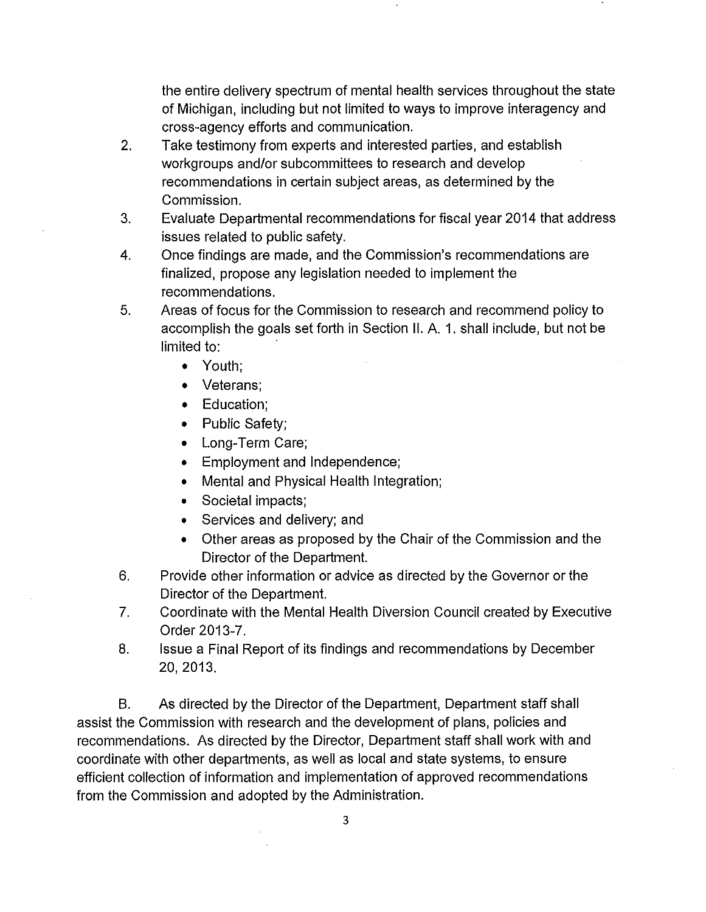the entire delivery spectrum of mental health services throughout the state of Michigan, including but not limited to ways to improve interagency and cross-agency efforts and communication.

- 2. Take testimony from experts and interested parties, and establish workgroups and/or subcommittees to research and develop recommendations in certain subject areas, as determined by the Commission.
- 3. Evaluate Departmental recommendations for fiscal year 2014 that address issues related to public safety.
- 4. Once findings are made, and the Commission's recommendations are finalized, propose any legislation needed to implement the recommendations.
- 5. Areas of focus for the Commission to research and recommend policy to accomplish the goals set forth in Section II. A. 1. shall include, but not be limited to:
	- Youth;
	- Veterans;
	- Education;
	- Public Safety;
	- Long-Term Care;
	- Employment and Independence;
	- Mental and Physical Health Integration;
	- Societal impacts;
	- Services and delivery; and
	- Other areas as proposed by the Chair of the Commission and the Director of the Department.
- 6. Provide other information or advice as directed by the Governor or the Director of the Department.
- 7. Coordinate with the Mental Health Diversion Council created by Executive Order 2013-7.
- 8. Issue a Final Report of its findings and recommendations by December 20,2013.

B. As directed by the Director of the Department, Department staff shall assist the Commission with research and the development of plans, policies and recommendations. As directed by the Director, Department staff shall work with and coordinate with other departments, as well as local and state systems, to ensure efficient collection of information and implementation of approved recommendations from the Commission and adopted by the Administration.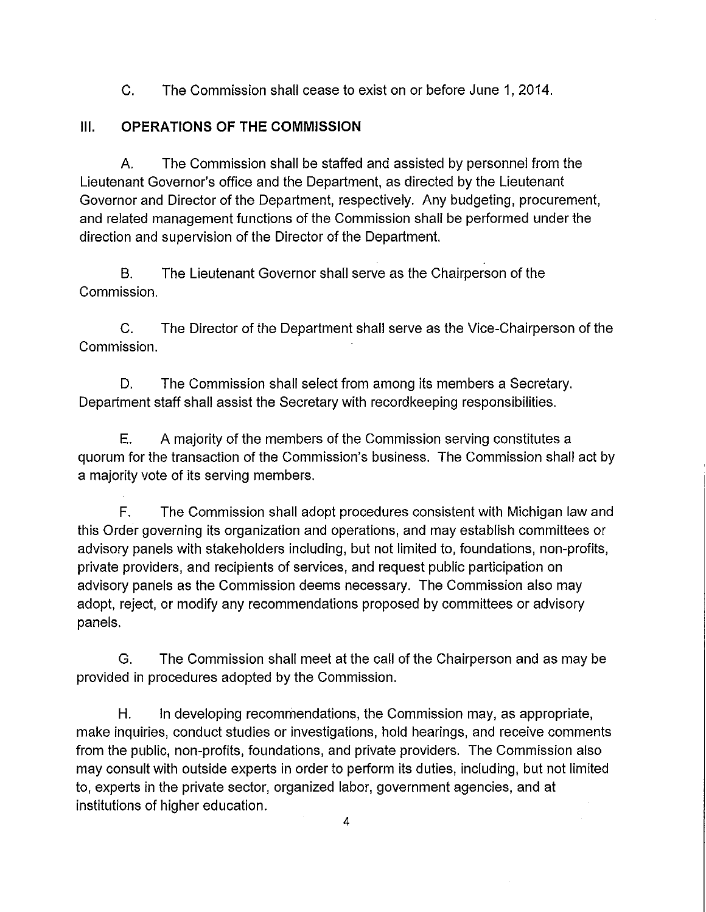C. The Commission shall cease to exist on or before June 1,2014.

## III. OPERATIONS OF THE COMMISSION

A. The Commission shall be staffed and assisted by personnel from the Lieutenant Governor's office and the Department, as directed by the Lieutenant Governor and Director of the Department, respectively. Any budgeting, procurement, and related management functions of the Commission shall be performed under the direction and supervision of the Director of the Department.

B. The Lieutenant Governor shall serve as the Chairperson of the Commission.

C. The Director of the Department shall serve as the Vice-Chairperson of the Commission.

D. The Commission shall select from among its members a Secretary. Department staff shall assist the Secretary with record keeping responsibilities.

E. A majority of the members of the Commission serving constitutes a quorum for the transaction of the Commission's business. The Commission shall act by a majority vote of its serving members.

F. The Commission shall adopt procedures consistent with Michigan law and this Order governing its organization and operations, and may establish committees or advisory panels with stakeholders including, but not limited to, foundations, non-profits, private providers, and recipients of services, and request public participation on advisory panels as the Commission deems necessary. The Commission also may adopt, reject, or modify any recommendations proposed by committees or advisory panels.

G. The Commission shall meet at the call of the Chairperson and as may be provided in procedures adopted by the Commission.

H. In developing recommendations, the Commission may, as appropriate, make inquiries, conduct studies or investigations, hold hearings, and receive comments from the public, non-profits, foundations, and private providers. The Commission also may consult with outside experts in order to perform its duties, including, but not limited to, experts in the private sector, organized labor, government agencies, and at institutions of higher education.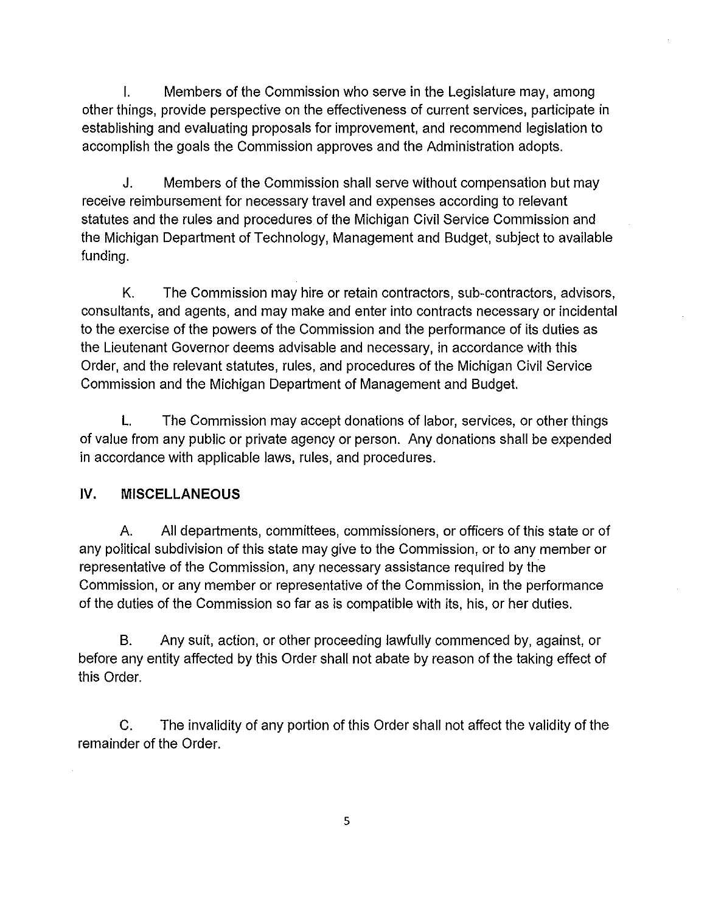I. Members of the Commission who serve in the Legislature may, among other things, provide perspective on the effectiveness of current services, participate in establishing and evaluating proposals for improvement, and recommend legislation to accomplish the goals the Commission approves and the Administration adopts.

J. Members of the Commission shall serve without compensation but may receive reimbursement for necessary travel and expenses according to relevant statutes and the rules and procedures of the Michigan Civil Service Commission and the Michigan Department of Technology, Management and Budget, subject to available funding.

K. The Commission may hire or retain contractors, sub-contractors, advisors, consultants, and agents, and may make and enter into contracts necessary or incidental to the exercise of the powers of the Commission and the performance of its duties as the Lieutenant Governor deems advisable and necessary, in accordance with this Order, and the relevant statutes, rules, and procedures of the Michigan Civil Service Commission and the Michigan Department of Management and Budget.

L. The Commission may accept donations of labor, services, or other things of value from any public or private agency or person. Any donations shall be expended in accordance with applicable laws, rules, and procedures.

# **IV. MISCELLANEOUS**

A. All departments, committees, commissioners, or officers of this state or of any political subdivision of this state may give to the Commission, or to any member or representative of the Commission, any necessary assistance required by the Commission, or any member or representative of the Commission, in the performance of the duties of the Commission so far as is compatible with its, his, or her duties.

B. Any suit, action, or other proceeding lawfully commenced by, against, or before any entity affected by this Order shall not abate by reason of the taking effect of this Order.

C. The invalidity of any portion of this Order shall not affect the validity of the remainder of the Order.